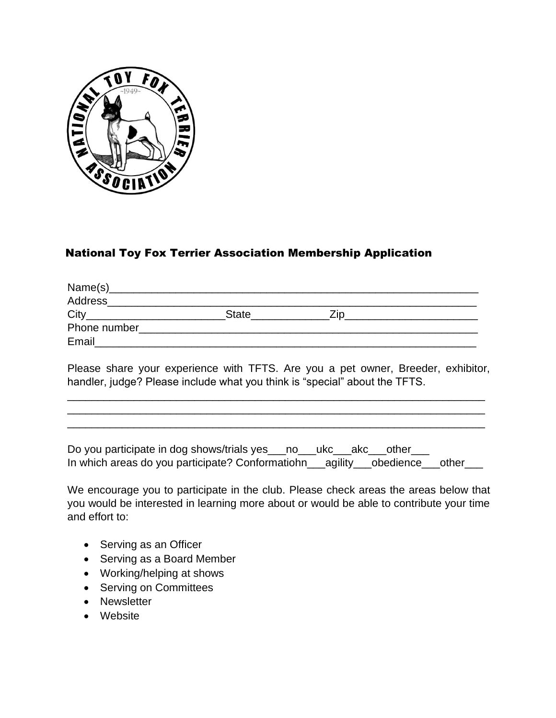

## National Toy Fox Terrier Association Membership Application

| Address      |              |  |
|--------------|--------------|--|
| City         | <b>State</b> |  |
| Phone number |              |  |
| Email        |              |  |

Please share your experience with TFTS. Are you a pet owner, Breeder, exhibitor, handler, judge? Please include what you think is "special" about the TFTS.

\_\_\_\_\_\_\_\_\_\_\_\_\_\_\_\_\_\_\_\_\_\_\_\_\_\_\_\_\_\_\_\_\_\_\_\_\_\_\_\_\_\_\_\_\_\_\_\_\_\_\_\_\_\_\_\_\_\_\_\_\_\_\_\_\_\_\_\_\_ \_\_\_\_\_\_\_\_\_\_\_\_\_\_\_\_\_\_\_\_\_\_\_\_\_\_\_\_\_\_\_\_\_\_\_\_\_\_\_\_\_\_\_\_\_\_\_\_\_\_\_\_\_\_\_\_\_\_\_\_\_\_\_\_\_\_\_\_\_ \_\_\_\_\_\_\_\_\_\_\_\_\_\_\_\_\_\_\_\_\_\_\_\_\_\_\_\_\_\_\_\_\_\_\_\_\_\_\_\_\_\_\_\_\_\_\_\_\_\_\_\_\_\_\_\_\_\_\_\_\_\_\_\_\_\_\_\_\_

Do you participate in dog shows/trials yes\_\_\_no\_\_\_ukc\_\_\_akc\_\_\_other\_\_\_ In which areas do you participate? Conformatiohn\_\_\_agility\_\_\_obedience\_\_\_other\_\_\_

We encourage you to participate in the club. Please check areas the areas below that you would be interested in learning more about or would be able to contribute your time and effort to:

- Serving as an Officer
- Serving as a Board Member
- Working/helping at shows
- Serving on Committees
- Newsletter
- Website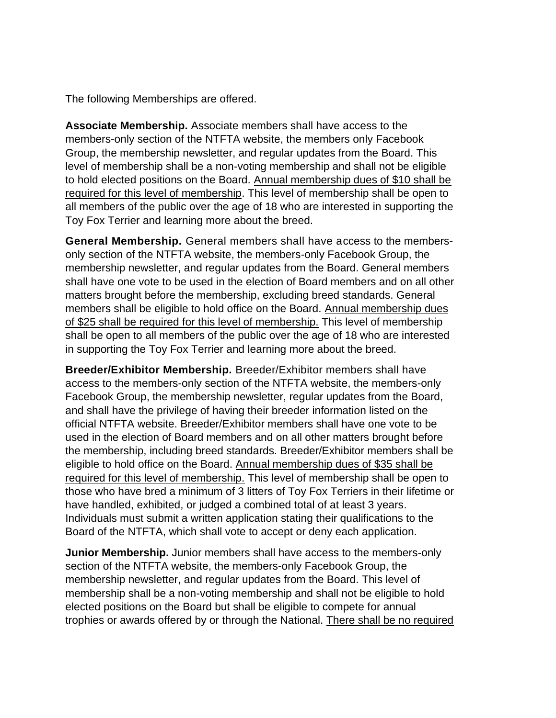The following Memberships are offered.

**Associate Membership.** Associate members shall have access to the members-only section of the NTFTA website, the members only Facebook Group, the membership newsletter, and regular updates from the Board. This level of membership shall be a non-voting membership and shall not be eligible to hold elected positions on the Board. Annual membership dues of \$10 shall be required for this level of membership. This level of membership shall be open to all members of the public over the age of 18 who are interested in supporting the Toy Fox Terrier and learning more about the breed.

**General Membership.** General members shall have access to the membersonly section of the NTFTA website, the members-only Facebook Group, the membership newsletter, and regular updates from the Board. General members shall have one vote to be used in the election of Board members and on all other matters brought before the membership, excluding breed standards. General members shall be eligible to hold office on the Board. Annual membership dues of \$25 shall be required for this level of membership. This level of membership shall be open to all members of the public over the age of 18 who are interested in supporting the Toy Fox Terrier and learning more about the breed.

**Breeder/Exhibitor Membership.** Breeder/Exhibitor members shall have access to the members-only section of the NTFTA website, the members-only Facebook Group, the membership newsletter, regular updates from the Board, and shall have the privilege of having their breeder information listed on the official NTFTA website. Breeder/Exhibitor members shall have one vote to be used in the election of Board members and on all other matters brought before the membership, including breed standards. Breeder/Exhibitor members shall be eligible to hold office on the Board. Annual membership dues of \$35 shall be required for this level of membership. This level of membership shall be open to those who have bred a minimum of 3 litters of Toy Fox Terriers in their lifetime or have handled, exhibited, or judged a combined total of at least 3 years. Individuals must submit a written application stating their qualifications to the Board of the NTFTA, which shall vote to accept or deny each application.

**Junior Membership.** Junior members shall have access to the members-only section of the NTFTA website, the members-only Facebook Group, the membership newsletter, and regular updates from the Board. This level of membership shall be a non-voting membership and shall not be eligible to hold elected positions on the Board but shall be eligible to compete for annual trophies or awards offered by or through the National. There shall be no required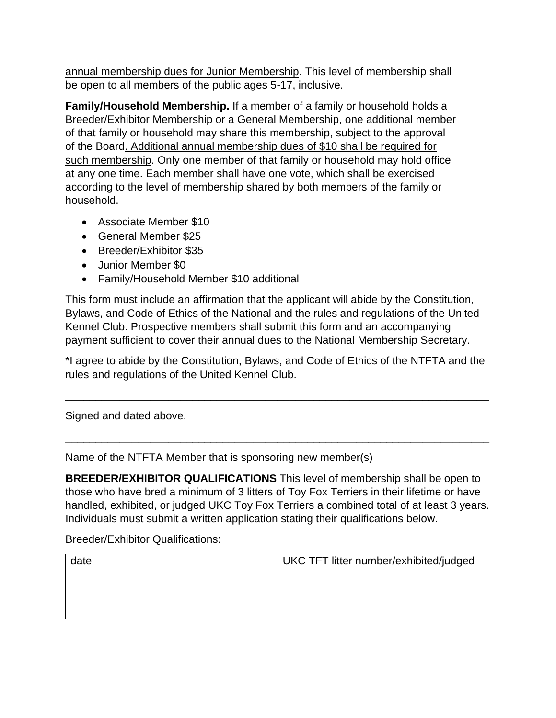annual membership dues for Junior Membership. This level of membership shall be open to all members of the public ages 5-17, inclusive.

**Family/Household Membership.** If a member of a family or household holds a Breeder/Exhibitor Membership or a General Membership, one additional member of that family or household may share this membership, subject to the approval of the Board. Additional annual membership dues of \$10 shall be required for such membership. Only one member of that family or household may hold office at any one time. Each member shall have one vote, which shall be exercised according to the level of membership shared by both members of the family or household.

- Associate Member \$10
- General Member \$25
- Breeder/Exhibitor \$35
- Junior Member \$0
- Family/Household Member \$10 additional

This form must include an affirmation that the applicant will abide by the Constitution, Bylaws, and Code of Ethics of the National and the rules and regulations of the United Kennel Club. Prospective members shall submit this form and an accompanying payment sufficient to cover their annual dues to the National Membership Secretary.

\*I agree to abide by the Constitution, Bylaws, and Code of Ethics of the NTFTA and the rules and regulations of the United Kennel Club.

\_\_\_\_\_\_\_\_\_\_\_\_\_\_\_\_\_\_\_\_\_\_\_\_\_\_\_\_\_\_\_\_\_\_\_\_\_\_\_\_\_\_\_\_\_\_\_\_\_\_\_\_\_\_\_\_\_\_\_\_\_\_\_\_\_\_\_\_\_\_

\_\_\_\_\_\_\_\_\_\_\_\_\_\_\_\_\_\_\_\_\_\_\_\_\_\_\_\_\_\_\_\_\_\_\_\_\_\_\_\_\_\_\_\_\_\_\_\_\_\_\_\_\_\_\_\_\_\_\_\_\_\_\_\_\_\_\_\_\_\_

Signed and dated above.

Name of the NTFTA Member that is sponsoring new member(s)

**BREEDER/EXHIBITOR QUALIFICATIONS** This level of membership shall be open to those who have bred a minimum of 3 litters of Toy Fox Terriers in their lifetime or have handled, exhibited, or judged UKC Toy Fox Terriers a combined total of at least 3 years. Individuals must submit a written application stating their qualifications below.

Breeder/Exhibitor Qualifications:

| date | UKC TFT litter number/exhibited/judged |  |
|------|----------------------------------------|--|
|      |                                        |  |
|      |                                        |  |
|      |                                        |  |
|      |                                        |  |